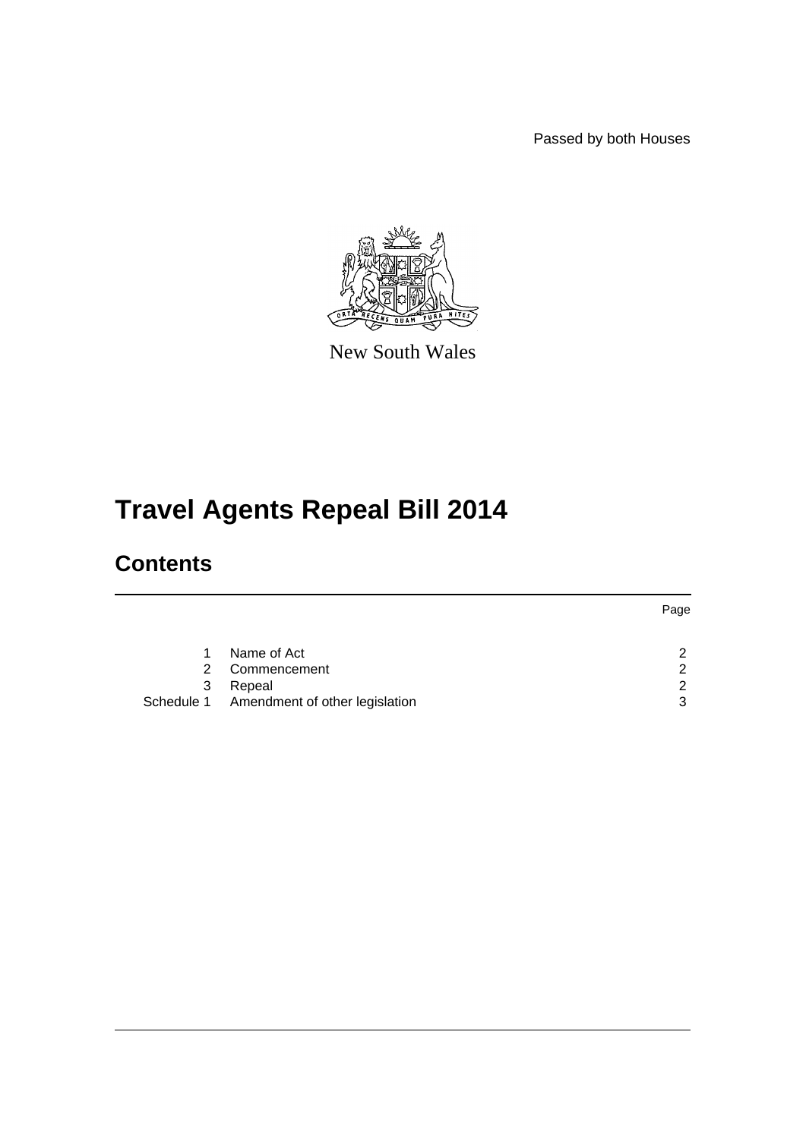Passed by both Houses



New South Wales

# **Travel Agents Repeal Bill 2014**

## **Contents**

|   |                                           | Page          |
|---|-------------------------------------------|---------------|
|   | Name of Act                               | $\mathcal{P}$ |
| 2 | Commencement                              | 2             |
| 3 | Repeal                                    | $\mathcal{P}$ |
|   | Schedule 1 Amendment of other legislation | 3             |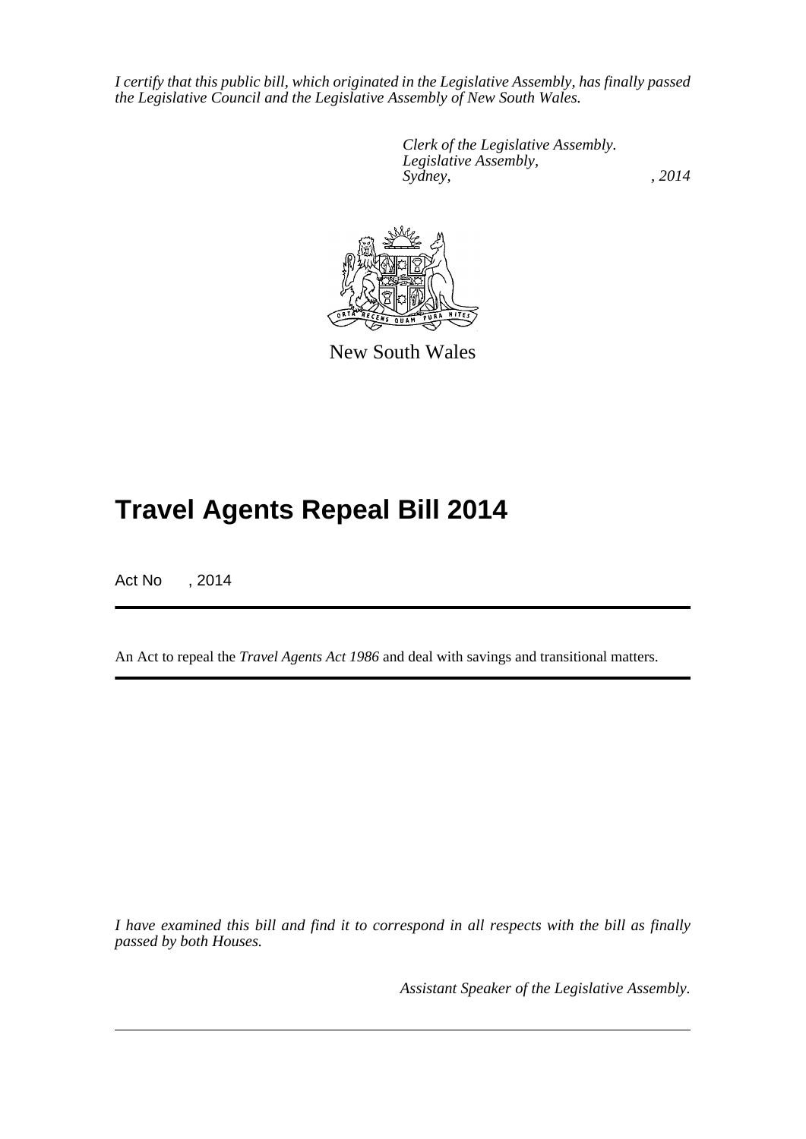*I certify that this public bill, which originated in the Legislative Assembly, has finally passed the Legislative Council and the Legislative Assembly of New South Wales.*

> *Clerk of the Legislative Assembly. Legislative Assembly, Sydney,* , 2014



New South Wales

## **Travel Agents Repeal Bill 2014**

Act No , 2014

An Act to repeal the *Travel Agents Act 1986* and deal with savings and transitional matters.

*I have examined this bill and find it to correspond in all respects with the bill as finally passed by both Houses.*

*Assistant Speaker of the Legislative Assembly.*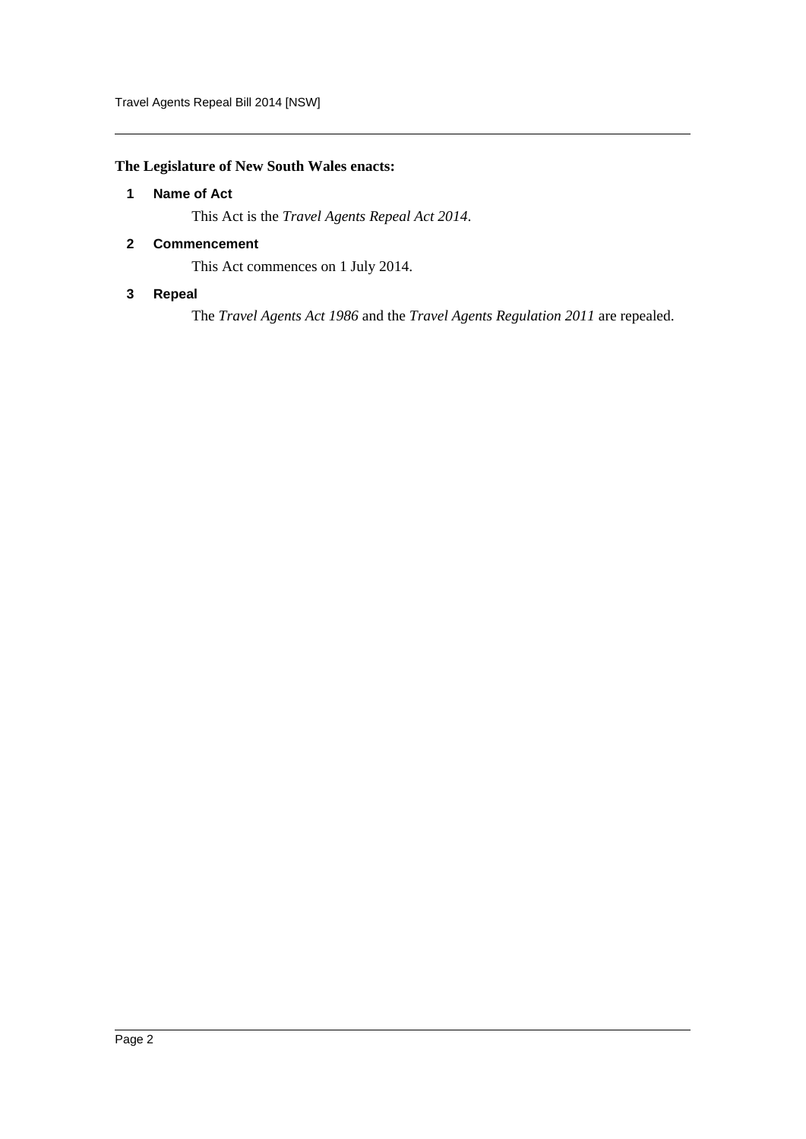Travel Agents Repeal Bill 2014 [NSW]

## <span id="page-2-0"></span>**The Legislature of New South Wales enacts:**

## **1 Name of Act**

This Act is the *Travel Agents Repeal Act 2014*.

## <span id="page-2-1"></span>**2 Commencement**

This Act commences on 1 July 2014.

## <span id="page-2-2"></span>**3 Repeal**

The *Travel Agents Act 1986* and the *Travel Agents Regulation 2011* are repealed.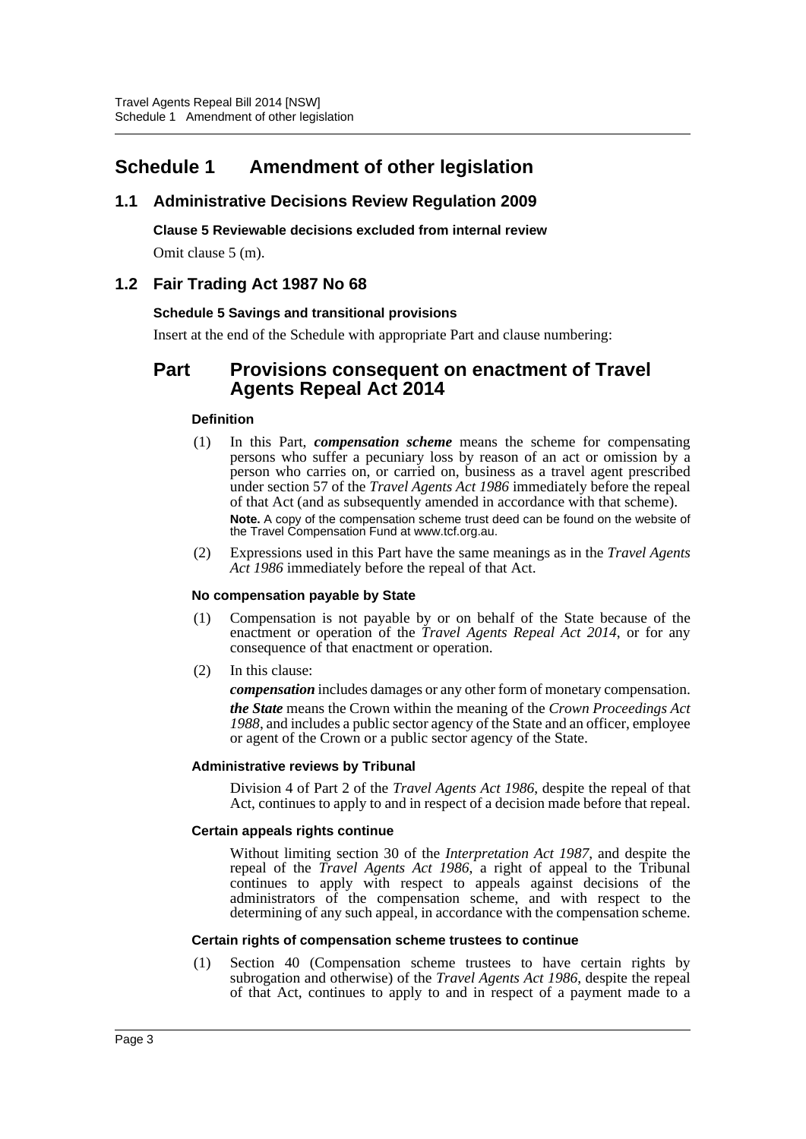## <span id="page-3-0"></span>**Schedule 1 Amendment of other legislation**

## **1.1 Administrative Decisions Review Regulation 2009**

**Clause 5 Reviewable decisions excluded from internal review**

Omit clause 5 (m).

## **1.2 Fair Trading Act 1987 No 68**

## **Schedule 5 Savings and transitional provisions**

Insert at the end of the Schedule with appropriate Part and clause numbering:

## **Part Provisions consequent on enactment of Travel Agents Repeal Act 2014**

## **Definition**

- (1) In this Part, *compensation scheme* means the scheme for compensating persons who suffer a pecuniary loss by reason of an act or omission by a person who carries on, or carried on, business as a travel agent prescribed under section 57 of the *Travel Agents Act 1986* immediately before the repeal of that Act (and as subsequently amended in accordance with that scheme). **Note.** A copy of the compensation scheme trust deed can be found on the website of the Travel Compensation Fund at www.tcf.org.au.
- (2) Expressions used in this Part have the same meanings as in the *Travel Agents Act 1986* immediately before the repeal of that Act.

## **No compensation payable by State**

- (1) Compensation is not payable by or on behalf of the State because of the enactment or operation of the *Travel Agents Repeal Act 2014*, or for any consequence of that enactment or operation.
- (2) In this clause:

*compensation* includes damages or any other form of monetary compensation. *the State* means the Crown within the meaning of the *Crown Proceedings Act 1988*, and includes a public sector agency of the State and an officer, employee or agent of the Crown or a public sector agency of the State.

## **Administrative reviews by Tribunal**

Division 4 of Part 2 of the *Travel Agents Act 1986*, despite the repeal of that Act, continues to apply to and in respect of a decision made before that repeal.

## **Certain appeals rights continue**

Without limiting section 30 of the *Interpretation Act 1987*, and despite the repeal of the *Travel Agents Act 1986*, a right of appeal to the Tribunal continues to apply with respect to appeals against decisions of the administrators of the compensation scheme, and with respect to the determining of any such appeal, in accordance with the compensation scheme.

## **Certain rights of compensation scheme trustees to continue**

(1) Section 40 (Compensation scheme trustees to have certain rights by subrogation and otherwise) of the *Travel Agents Act 1986*, despite the repeal of that Act, continues to apply to and in respect of a payment made to a